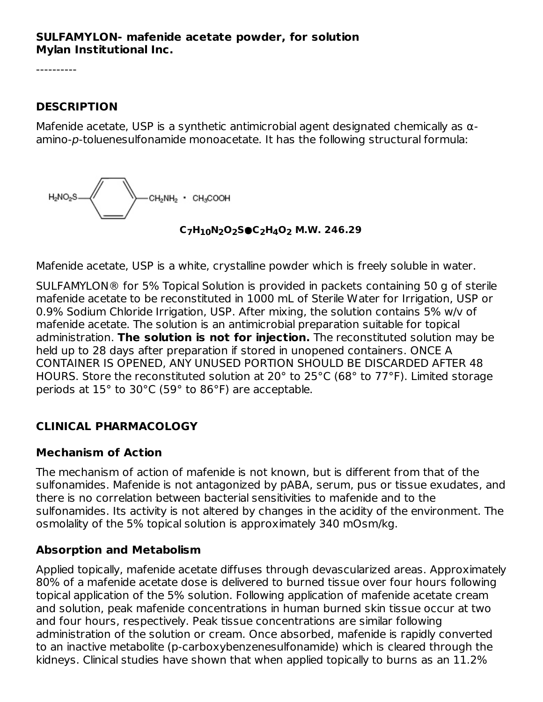#### **SULFAMYLON- mafenide acetate powder, for solution Mylan Institutional Inc.**

----------

#### **DESCRIPTION**

Mafenide acetate, USP is a synthetic antimicrobial agent designated chemically as  $\alpha$ amino-p-toluenesulfonamide monoacetate. It has the following structural formula:



**C H N O S●C H O M.W. 246.29 7 10 2 2 2 4 2**

Mafenide acetate, USP is a white, crystalline powder which is freely soluble in water.

SULFAMYLON® for 5% Topical Solution is provided in packets containing 50 g of sterile mafenide acetate to be reconstituted in 1000 mL of Sterile Water for Irrigation, USP or 0.9% Sodium Chloride Irrigation, USP. After mixing, the solution contains 5% w/v of mafenide acetate. The solution is an antimicrobial preparation suitable for topical administration. **The solution is not for injection.** The reconstituted solution may be held up to 28 days after preparation if stored in unopened containers. ONCE A CONTAINER IS OPENED, ANY UNUSED PORTION SHOULD BE DISCARDED AFTER 48 HOURS. Store the reconstituted solution at 20° to 25°C (68° to 77°F). Limited storage periods at 15° to 30°C (59° to 86°F) are acceptable.

## **CLINICAL PHARMACOLOGY**

### **Mechanism of Action**

The mechanism of action of mafenide is not known, but is different from that of the sulfonamides. Mafenide is not antagonized by pABA, serum, pus or tissue exudates, and there is no correlation between bacterial sensitivities to mafenide and to the sulfonamides. Its activity is not altered by changes in the acidity of the environment. The osmolality of the 5% topical solution is approximately 340 mOsm/kg.

### **Absorption and Metabolism**

Applied topically, mafenide acetate diffuses through devascularized areas. Approximately 80% of a mafenide acetate dose is delivered to burned tissue over four hours following topical application of the 5% solution. Following application of mafenide acetate cream and solution, peak mafenide concentrations in human burned skin tissue occur at two and four hours, respectively. Peak tissue concentrations are similar following administration of the solution or cream. Once absorbed, mafenide is rapidly converted to an inactive metabolite (p-carboxybenzenesulfonamide) which is cleared through the kidneys. Clinical studies have shown that when applied topically to burns as an 11.2%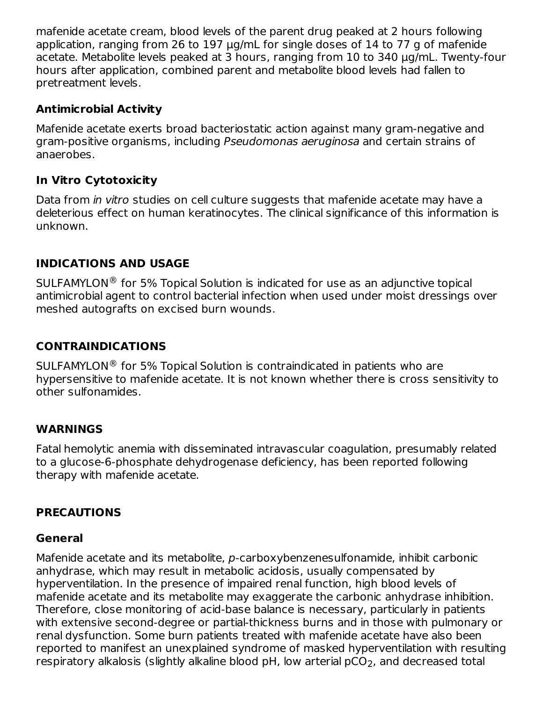mafenide acetate cream, blood levels of the parent drug peaked at 2 hours following application, ranging from 26 to 197 µg/mL for single doses of 14 to 77 g of mafenide acetate. Metabolite levels peaked at 3 hours, ranging from 10 to 340 µg/mL. Twenty-four hours after application, combined parent and metabolite blood levels had fallen to pretreatment levels.

### **Antimicrobial Activity**

Mafenide acetate exerts broad bacteriostatic action against many gram-negative and gram-positive organisms, including Pseudomonas aeruginosa and certain strains of anaerobes.

## **In Vitro Cytotoxicity**

Data from *in vitro* studies on cell culture suggests that mafenide acetate may have a deleterious effect on human keratinocytes. The clinical significance of this information is unknown.

### **INDICATIONS AND USAGE**

 $\mathsf{SULER}$ MYLON® for 5% Topical Solution is indicated for use as an adjunctive topical antimicrobial agent to control bacterial infection when used under moist dressings over meshed autografts on excised burn wounds.

### **CONTRAINDICATIONS**

SULFAMYLON<sup>®</sup> for 5% Topical Solution is contraindicated in patients who are hypersensitive to mafenide acetate. It is not known whether there is cross sensitivity to other sulfonamides.

### **WARNINGS**

Fatal hemolytic anemia with disseminated intravascular coagulation, presumably related to a glucose-6-phosphate dehydrogenase deficiency, has been reported following therapy with mafenide acetate.

### **PRECAUTIONS**

### **General**

Mafenide acetate and its metabolite, p-carboxybenzenesulfonamide, inhibit carbonic anhydrase, which may result in metabolic acidosis, usually compensated by hyperventilation. In the presence of impaired renal function, high blood levels of mafenide acetate and its metabolite may exaggerate the carbonic anhydrase inhibition. Therefore, close monitoring of acid-base balance is necessary, particularly in patients with extensive second-degree or partial-thickness burns and in those with pulmonary or renal dysfunction. Some burn patients treated with mafenide acetate have also been reported to manifest an unexplained syndrome of masked hyperventilation with resulting respiratory alkalosis (slightly alkaline blood pH, low arterial pCO<sub>2</sub>, and decreased total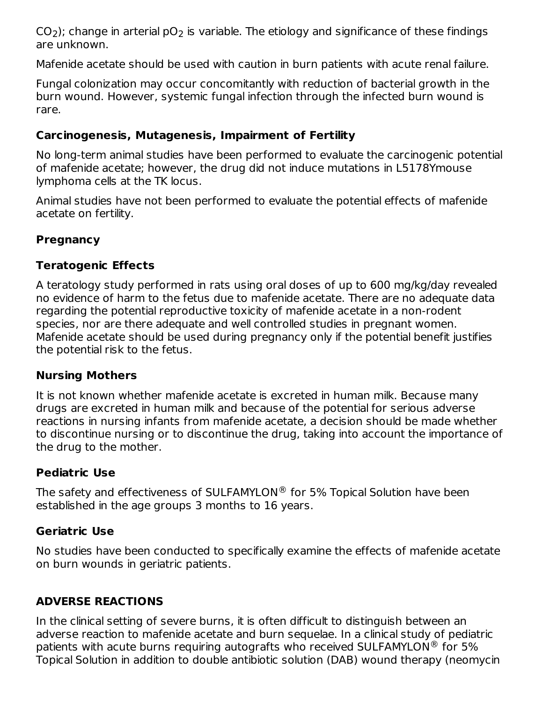CO<sub>2</sub>); change in arterial pO<sub>2</sub> is variable. The etiology and significance of these findings are unknown.  $2$ ); Change in arterial  $pv<sub>2</sub>$ 

Mafenide acetate should be used with caution in burn patients with acute renal failure.

Fungal colonization may occur concomitantly with reduction of bacterial growth in the burn wound. However, systemic fungal infection through the infected burn wound is rare.

## **Carcinogenesis, Mutagenesis, Impairment of Fertility**

No long-term animal studies have been performed to evaluate the carcinogenic potential of mafenide acetate; however, the drug did not induce mutations in L5178Ymouse lymphoma cells at the TK locus.

Animal studies have not been performed to evaluate the potential effects of mafenide acetate on fertility.

## **Pregnancy**

### **Teratogenic Effects**

A teratology study performed in rats using oral doses of up to 600 mg/kg/day revealed no evidence of harm to the fetus due to mafenide acetate. There are no adequate data regarding the potential reproductive toxicity of mafenide acetate in a non-rodent species, nor are there adequate and well controlled studies in pregnant women. Mafenide acetate should be used during pregnancy only if the potential benefit justifies the potential risk to the fetus.

### **Nursing Mothers**

It is not known whether mafenide acetate is excreted in human milk. Because many drugs are excreted in human milk and because of the potential for serious adverse reactions in nursing infants from mafenide acetate, a decision should be made whether to discontinue nursing or to discontinue the drug, taking into account the importance of the drug to the mother.

### **Pediatric Use**

The safety and effectiveness of SULFAMYLON $^{\circledR}$  for 5% Topical Solution have been established in the age groups 3 months to 16 years.

## **Geriatric Use**

No studies have been conducted to specifically examine the effects of mafenide acetate on burn wounds in geriatric patients.

## **ADVERSE REACTIONS**

In the clinical setting of severe burns, it is often difficult to distinguish between an adverse reaction to mafenide acetate and burn sequelae. In a clinical study of pediatric patients with acute burns requiring autografts who received SULFAMYLON $^{\circledR}$  for 5% Topical Solution in addition to double antibiotic solution (DAB) wound therapy (neomycin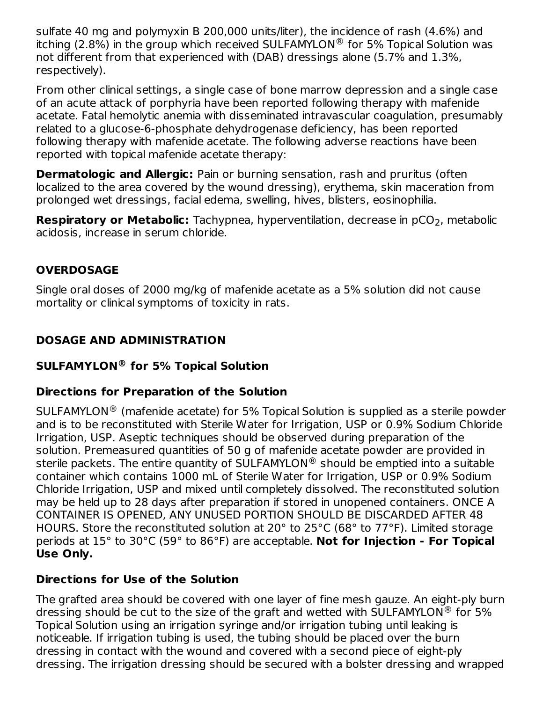sulfate 40 mg and polymyxin B 200,000 units/liter), the incidence of rash (4.6%) and itching (2.8%) in the group which received SULFAMYLON  $^{\circledR}$  for 5% Topical Solution was not different from that experienced with (DAB) dressings alone (5.7% and 1.3%, respectively).

From other clinical settings, a single case of bone marrow depression and a single case of an acute attack of porphyria have been reported following therapy with mafenide acetate. Fatal hemolytic anemia with disseminated intravascular coagulation, presumably related to a glucose-6-phosphate dehydrogenase deficiency, has been reported following therapy with mafenide acetate. The following adverse reactions have been reported with topical mafenide acetate therapy:

**Dermatologic and Allergic:** Pain or burning sensation, rash and pruritus (often localized to the area covered by the wound dressing), erythema, skin maceration from prolonged wet dressings, facial edema, swelling, hives, blisters, eosinophilia.

**Respiratory or Metabolic:** Tachypnea, hyperventilation, decrease in pCO<sub>2</sub>, metabolic acidosis, increase in serum chloride.

## **OVERDOSAGE**

Single oral doses of 2000 mg/kg of mafenide acetate as a 5% solution did not cause mortality or clinical symptoms of toxicity in rats.

# **DOSAGE AND ADMINISTRATION**

## **SULFAMYLON for 5% Topical Solution ®**

## **Directions for Preparation of the Solution**

 $\mathsf{SULER}$ MYLON $^\circledR$  (mafenide acetate) for 5% Topical Solution is supplied as a sterile powder and is to be reconstituted with Sterile Water for Irrigation, USP or 0.9% Sodium Chloride Irrigation, USP. Aseptic techniques should be observed during preparation of the solution. Premeasured quantities of 50 g of mafenide acetate powder are provided in sterile packets. The entire quantity of SULFAMYLON $^\circledR$  should be emptied into a suitable container which contains 1000 mL of Sterile Water for Irrigation, USP or 0.9% Sodium Chloride Irrigation, USP and mixed until completely dissolved. The reconstituted solution may be held up to 28 days after preparation if stored in unopened containers. ONCE A CONTAINER IS OPENED, ANY UNUSED PORTION SHOULD BE DISCARDED AFTER 48 HOURS. Store the reconstituted solution at 20° to 25°C (68° to 77°F). Limited storage periods at 15° to 30°C (59° to 86°F) are acceptable. **Not for Injection - For Topical Use Only.**

### **Directions for Use of the Solution**

The grafted area should be covered with one layer of fine mesh gauze. An eight-ply burn dressing should be cut to the size of the graft and wetted with SULFAMYLON $^\circledR$  for 5% Topical Solution using an irrigation syringe and/or irrigation tubing until leaking is noticeable. If irrigation tubing is used, the tubing should be placed over the burn dressing in contact with the wound and covered with a second piece of eight-ply dressing. The irrigation dressing should be secured with a bolster dressing and wrapped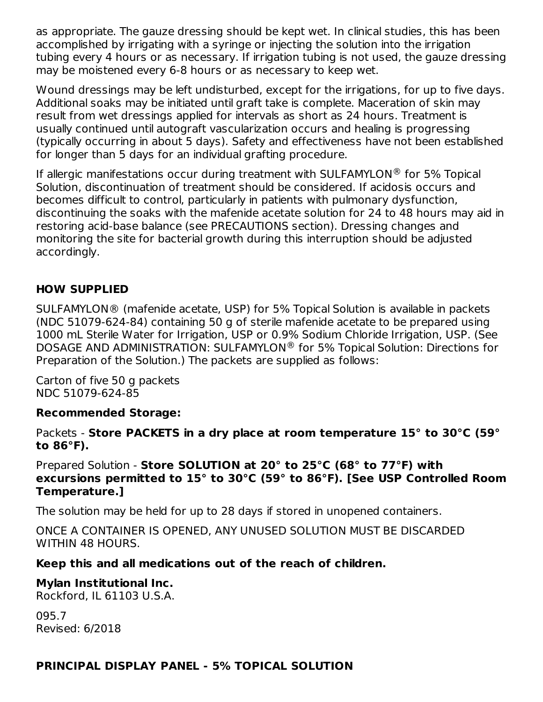as appropriate. The gauze dressing should be kept wet. In clinical studies, this has been accomplished by irrigating with a syringe or injecting the solution into the irrigation tubing every 4 hours or as necessary. If irrigation tubing is not used, the gauze dressing may be moistened every 6-8 hours or as necessary to keep wet.

Wound dressings may be left undisturbed, except for the irrigations, for up to five days. Additional soaks may be initiated until graft take is complete. Maceration of skin may result from wet dressings applied for intervals as short as 24 hours. Treatment is usually continued until autograft vascularization occurs and healing is progressing (typically occurring in about 5 days). Safety and effectiveness have not been established for longer than 5 days for an individual grafting procedure.

If allergic manifestations occur during treatment with SULFAMYLON $^{\circledR}$  for 5% Topical Solution, discontinuation of treatment should be considered. If acidosis occurs and becomes difficult to control, particularly in patients with pulmonary dysfunction, discontinuing the soaks with the mafenide acetate solution for 24 to 48 hours may aid in restoring acid-base balance (see PRECAUTIONS section). Dressing changes and monitoring the site for bacterial growth during this interruption should be adjusted accordingly.

## **HOW SUPPLIED**

SULFAMYLON® (mafenide acetate, USP) for 5% Topical Solution is available in packets (NDC 51079-624-84) containing 50 g of sterile mafenide acetate to be prepared using 1000 mL Sterile Water for Irrigation, USP or 0.9% Sodium Chloride Irrigation, USP. (See DOSAGE AND ADMINISTRATION: SULFAMYLON<sup>®</sup> for 5% Topical Solution: Directions for Preparation of the Solution.) The packets are supplied as follows:

Carton of five 50 g packets NDC 51079-624-85

### **Recommended Storage:**

Packets - **Store PACKETS in a dry place at room temperature 15° to 30°C (59° to 86°F).**

Prepared Solution - **Store SOLUTION at 20° to 25°C (68° to 77°F) with excursions permitted to 15° to 30°C (59° to 86°F). [See USP Controlled Room Temperature.]**

The solution may be held for up to 28 days if stored in unopened containers.

ONCE A CONTAINER IS OPENED, ANY UNUSED SOLUTION MUST BE DISCARDED WITHIN 48 HOURS.

### **Keep this and all medications out of the reach of children.**

### **Mylan Institutional Inc.**

Rockford, IL 61103 U.S.A.

095.7 Revised: 6/2018

### **PRINCIPAL DISPLAY PANEL - 5% TOPICAL SOLUTION**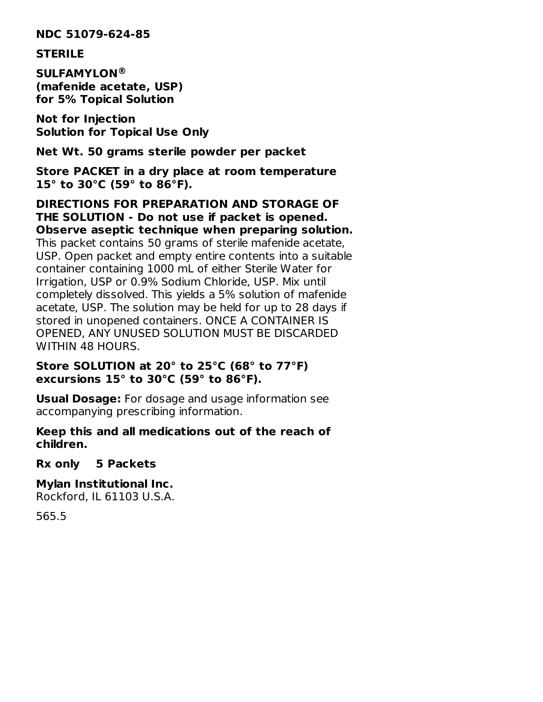**NDC 51079-624-85**

#### **STERILE**

**SULFAMYLON ®(mafenide acetate, USP) for 5% Topical Solution**

**Not for Injection Solution for Topical Use Only**

**Net Wt. 50 grams sterile powder per packet**

**Store PACKET in a dry place at room temperature 15° to 30°C (59° to 86°F).**

**DIRECTIONS FOR PREPARATION AND STORAGE OF THE SOLUTION - Do not use if packet is opened. Observe aseptic technique when preparing solution.** This packet contains 50 grams of sterile mafenide acetate, USP. Open packet and empty entire contents into a suitable

container containing 1000 mL of either Sterile Water for Irrigation, USP or 0.9% Sodium Chloride, USP. Mix until completely dissolved. This yields a 5% solution of mafenide acetate, USP. The solution may be held for up to 28 days if stored in unopened containers. ONCE A CONTAINER IS OPENED, ANY UNUSED SOLUTION MUST BE DISCARDED WITHIN 48 HOURS.

#### **Store SOLUTION at 20° to 25°C (68° to 77°F) excursions 15° to 30°C (59° to 86°F).**

**Usual Dosage:** For dosage and usage information see accompanying prescribing information.

**Keep this and all medications out of the reach of children.**

**Rx only 5 Packets**

**Mylan Institutional Inc.** Rockford, IL 61103 U.S.A.

565.5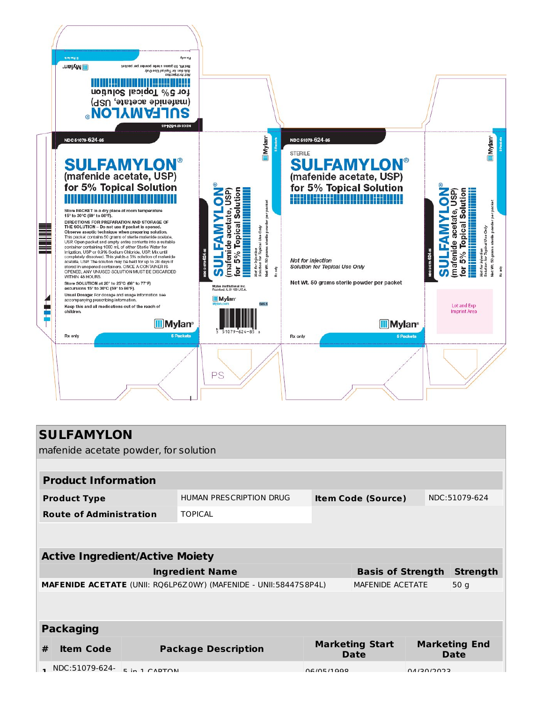

| <b>SULFAMYLON</b><br>mafenide acetate powder, for solution       |                            |                                |                  |                              |                 |  |  |  |
|------------------------------------------------------------------|----------------------------|--------------------------------|------------------|------------------------------|-----------------|--|--|--|
|                                                                  |                            |                                |                  |                              |                 |  |  |  |
| <b>Product Information</b>                                       |                            |                                |                  |                              |                 |  |  |  |
| <b>Product Type</b>                                              | HUMAN PRESCRIPTION DRUG    | <b>Item Code (Source)</b>      |                  |                              | NDC:51079-624   |  |  |  |
| <b>Route of Administration</b>                                   | <b>TOPICAL</b>             |                                |                  |                              |                 |  |  |  |
|                                                                  |                            |                                |                  |                              |                 |  |  |  |
| <b>Active Ingredient/Active Moiety</b>                           |                            |                                |                  |                              |                 |  |  |  |
| <b>Ingredient Name</b>                                           |                            | <b>Basis of Strength</b>       |                  | <b>Strength</b>              |                 |  |  |  |
| MAFENIDE ACETATE (UNII: RQ6LP6Z0WY) (MAFENIDE - UNII:58447S8P4L) |                            |                                | MAFENIDE ACETATE |                              | 50 <sub>g</sub> |  |  |  |
|                                                                  |                            |                                |                  |                              |                 |  |  |  |
| <b>Packaging</b>                                                 |                            |                                |                  |                              |                 |  |  |  |
| #<br><b>Item Code</b>                                            | <b>Package Description</b> | <b>Marketing Start</b><br>Date |                  | <b>Marketing End</b><br>Date |                 |  |  |  |
| NDC:51079-624-<br>5 in 1 CAPTON                                  |                            | 06/05/1000                     |                  | CCOCIOCINO                   |                 |  |  |  |